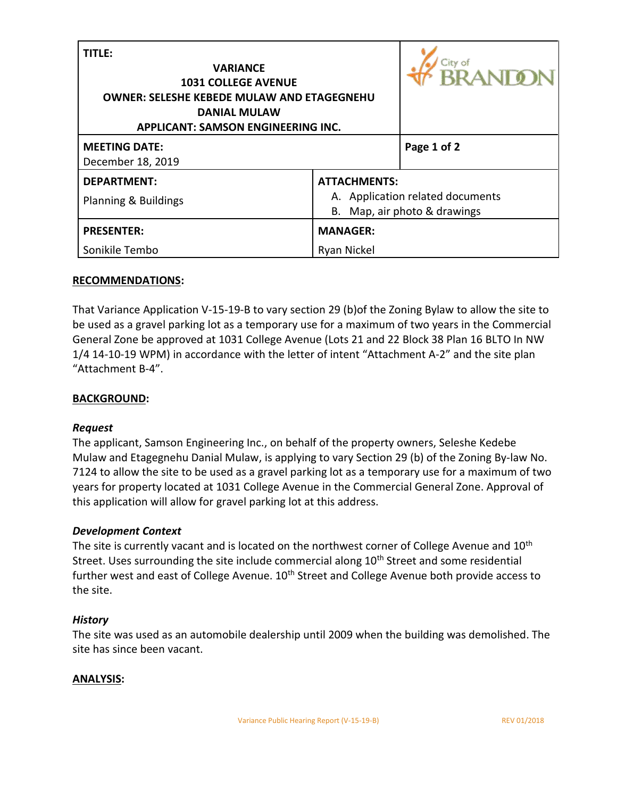| TITLE:<br><b>VARIANCE</b><br><b>1031 COLLEGE AVENUE</b><br><b>OWNER: SELESHE KEBEDE MULAW AND ETAGEGNEHU</b><br><b>DANIAL MULAW</b><br>APPLICANT: SAMSON ENGINEERING INC. |                                                                                         | RANITO      |
|---------------------------------------------------------------------------------------------------------------------------------------------------------------------------|-----------------------------------------------------------------------------------------|-------------|
| <b>MEETING DATE:</b><br>December 18, 2019                                                                                                                                 |                                                                                         | Page 1 of 2 |
| <b>DEPARTMENT:</b><br>Planning & Buildings                                                                                                                                | <b>ATTACHMENTS:</b><br>A. Application related documents<br>B. Map, air photo & drawings |             |
| <b>PRESENTER:</b>                                                                                                                                                         | <b>MANAGER:</b>                                                                         |             |
| Sonikile Tembo                                                                                                                                                            | <b>Ryan Nickel</b>                                                                      |             |

## **RECOMMENDATIONS:**

That Variance Application V-15-19-B to vary section 29 (b)of the Zoning Bylaw to allow the site to be used as a gravel parking lot as a temporary use for a maximum of two years in the Commercial General Zone be approved at 1031 College Avenue (Lots 21 and 22 Block 38 Plan 16 BLTO In NW 1/4 14-10-19 WPM) in accordance with the letter of intent "Attachment A-2" and the site plan "Attachment B-4".

## **BACKGROUND:**

### *Request*

The applicant, Samson Engineering Inc., on behalf of the property owners, Seleshe Kedebe Mulaw and Etagegnehu Danial Mulaw, is applying to vary Section 29 (b) of the Zoning By-law No. 7124 to allow the site to be used as a gravel parking lot as a temporary use for a maximum of two years for property located at 1031 College Avenue in the Commercial General Zone. Approval of this application will allow for gravel parking lot at this address.

### *Development Context*

The site is currently vacant and is located on the northwest corner of College Avenue and 10<sup>th</sup> Street. Uses surrounding the site include commercial along 10<sup>th</sup> Street and some residential further west and east of College Avenue. 10<sup>th</sup> Street and College Avenue both provide access to the site.

### *History*

The site was used as an automobile dealership until 2009 when the building was demolished. The site has since been vacant.

## **ANALYSIS:**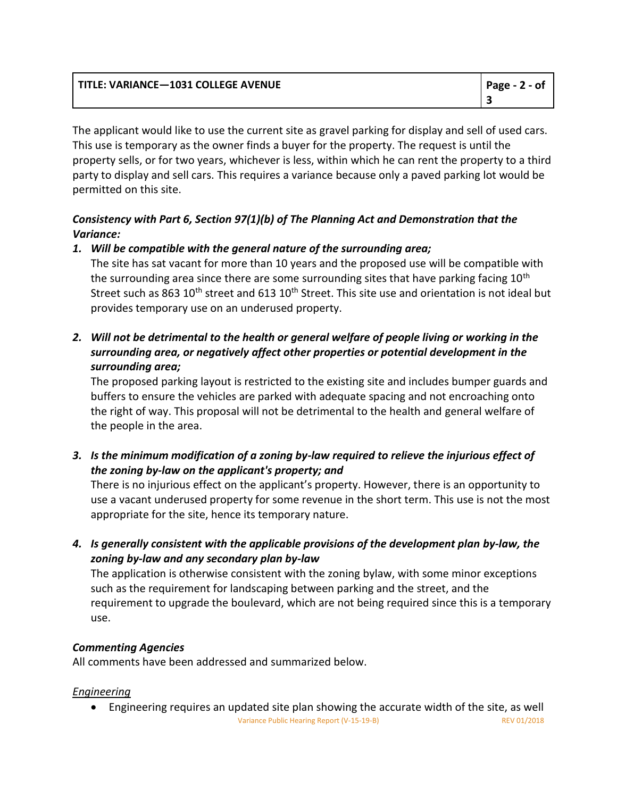The applicant would like to use the current site as gravel parking for display and sell of used cars. This use is temporary as the owner finds a buyer for the property. The request is until the property sells, or for two years, whichever is less, within which he can rent the property to a third party to display and sell cars. This requires a variance because only a paved parking lot would be permitted on this site.

# *Consistency with Part 6, Section 97(1)(b) of The Planning Act and Demonstration that the Variance:*

# *1. Will be compatible with the general nature of the surrounding area;*

The site has sat vacant for more than 10 years and the proposed use will be compatible with the surrounding area since there are some surrounding sites that have parking facing  $10<sup>th</sup>$ Street such as 863 10<sup>th</sup> street and 613 10<sup>th</sup> Street. This site use and orientation is not ideal but provides temporary use on an underused property.

*2. Will not be detrimental to the health or general welfare of people living or working in the surrounding area, or negatively affect other properties or potential development in the surrounding area;*

The proposed parking layout is restricted to the existing site and includes bumper guards and buffers to ensure the vehicles are parked with adequate spacing and not encroaching onto the right of way. This proposal will not be detrimental to the health and general welfare of the people in the area.

*3. Is the minimum modification of a zoning by-law required to relieve the injurious effect of the zoning by-law on the applicant's property; and*

There is no injurious effect on the applicant's property. However, there is an opportunity to use a vacant underused property for some revenue in the short term. This use is not the most appropriate for the site, hence its temporary nature.

*4. Is generally consistent with the applicable provisions of the development plan by-law, the zoning by-law and any secondary plan by-law*

The application is otherwise consistent with the zoning bylaw, with some minor exceptions such as the requirement for landscaping between parking and the street, and the requirement to upgrade the boulevard, which are not being required since this is a temporary use.

## *Commenting Agencies*

All comments have been addressed and summarized below.

## *Engineering*

Variance Public Hearing Report (V-15-19-B) REV 01/2018 Engineering requires an updated site plan showing the accurate width of the site, as well